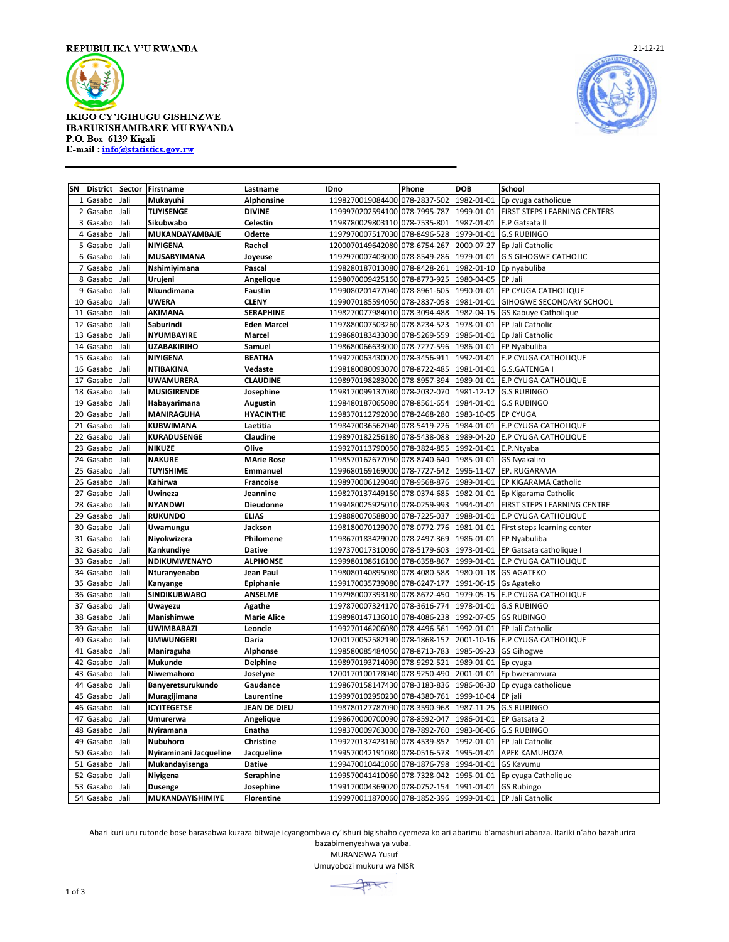

## **IKIGO CY'IGIHUGU GISHINZWE IBARURISHAMIBARE MU RWANDA** P.O. Box 6139 Kigali E-mail: info@statistics.gov.rw



**SN District Sector Firstname Lastname IDno Phone DOB School** Gasabo Jali **Mukayuhi Alphonsine** 1198270019084400 078-2837-502 1982-01-01 Ep cyuga catholique Gasabo Jali **TUYISENGE DIVINE** 1199970202594100 078-7995-787 1999-01-01 FIRST STEPS LEARNING CENTERS Gasabo Jali **Sikubwabo Celestin** 1198780029803110 078-7535-801 1987-01-01 E.P Gatsata ll Gasabo Jali **MUKANDAYAMBAJE Odette** 1197970007517030 078-8496-528 1979-01-01 G.S RUBINGO Gasabo Jali **NIYIGENA Rachel** 1200070149642080 078-6754-267 2000-07-27 Ep Jali Catholic Gasabo Jali **MUSABYIMANA Joyeuse** 1197970007403000 078-8549-286 1979-01-01 G S GIHOGWE CATHOLIC Gasabo Jali **Nshimiyimana Pascal** 1198280187013080 078-8428-261 1982-01-10 Ep nyabuliba Gasabo Jali **Urujeni Angelique** 1198070009425160 078-8773-925 1980-04-05 EP Jali Gasabo Jali **Nkundimana Faustin** 1199080201477040 078-8961-605 1990-01-01 EP CYUGA CATHOLIQUE Gasabo Jali **UWERA CLENY** 1199070185594050 078-2837-058 1981-01-01 GIHOGWE SECONDARY SCHOOL Gasabo Jali **AKIMANA SERAPHINE** 1198270077984010 078-3094-488 1982-04-15 GS Kabuye Catholique Gasabo Jali **Saburindi Eden Marcel** 1197880007503260 078-8234-523 1978-01-01 EP Jali Catholic Gasabo Jali **NYUMBAYIRE Marcel** 1198680183433030 078-5269-559 1986-01-01 Ep Jali Catholic Gasabo Jali **UZABAKIRIHO Samuel** 1198680066633000 078-7277-596 1986-01-01 EP Nyabuliba Gasabo Jali **NIYIGENA BEATHA** 1199270063430020 078-3456-911 1992-01-01 E.P CYUGA CATHOLIQUE Gasabo Jali **NTIBAKINA Vedaste** 1198180080093070 078-8722-485 1981-01-01 G.S.GATENGA I Gasabo Jali **UWAMURERA CLAUDINE** 1198970198283020 078-8957-394 1989-01-01 E.P CYUGA CATHOLIQUE Gasabo Jali **MUSIGIRENDE Josephine** 1198170099137080 078-2032-070 1981-12-12 G.S RUBINGO Gasabo Jali **Habayarimana Augustin** 1198480187065080 078-8561-654 1984-01-01 G.S RUBINGO Gasabo Jali **MANIRAGUHA HYACINTHE** 1198370112792030 078-2468-280 1983-10-05 EP CYUGA Gasabo Jali **KUBWIMANA Laetitia** 1198470036562040 078-5419-226 1984-01-01 E.P CYUGA CATHOLIQUE Gasabo Jali **KURADUSENGE Claudine** 1198970182256180 078-5438-088 1989-04-20 E.P CYUGA CATHOLIQUE Gasabo Jali **NIKUZE Olive** 1199270113790050 078-3824-855 1992-01-01 E.P.Ntyaba Gasabo Jali **NAKURE MArie Rose** 1198570162677050 078-8740-640 1985-01-01 GS Nyakaliro Gasabo Jali **TUYISHIME Emmanuel** 1199680169169000 078-7727-642 1996-11-07 EP. RUGARAMA Gasabo Jali **Kahirwa Francoise** 1198970006129040 078-9568-876 1989-01-01 EP KIGARAMA Catholic Gasabo Jali **Uwineza Jeannine** 1198270137449150 078-0374-685 1982-01-01 Ep Kigarama Catholic Gasabo Jali **NYANDWI Dieudonne** 1199480025925010 078-0259-993 1994-01-01 FIRST STEPS LEARNING CENTRE Gasabo Jali **RUKUNDO ELIAS** 1198880070588030 078-7225-037 1988-01-01 E.P CYUGA CATHOLIQUE Gasabo Jali **Uwamungu Jackson** 1198180070129070 078-0772-776 1981-01-01 First steps learning center Gasabo Jali **Niyokwizera Philomene** 1198670183429070 078-2497-369 1986-01-01 EP Nyabuliba Gasabo Jali **Kankundiye Dative** 1197370017310060 078-5179-603 1973-01-01 EP Gatsata catholique I Gasabo Jali **NDIKUMWENAYO ALPHONSE** 1199980108616100 078-6358-867 1999-01-01 E.P CYUGA CATHOLIQUE Gasabo Jali **Nturanyenabo Jean Paul** 1198080140895080 078-4080-588 1980-01-18 GS AGATEKO Gasabo Jali **Kanyange Epiphanie** 1199170035739080 078-6247-177 1991-06-15 Gs Agateko 36 Gasabo Jali **SINDIKUBWABO ANSELME** 1197980007393180 078-8672-450 1979-05-15 Gasabo Jali **Uwayezu Agathe** 1197870007324170 078-3616-774 1978-01-01 G.S RUBINGO Gasabo Jali **Manishimwe Marie Alice** 1198980147136010 078-4086-238 1992-07-05 GS RUBINGO Gasabo Jali **UWIMBABAZI Leoncie** 1199270146206080 078-4496-561 1992-01-01 EP Jali Catholic Gasabo Jali **UMWUNGERI Daria** 1200170052582190 078-1868-152 2001-10-16 E.P CYUGA CATHOLIQUE Gasabo Jali **Maniraguha Alphonse** 1198580085484050 078-8713-783 1985-09-23 GS Gihogwe Gasabo Jali **Mukunde Delphine** 1198970193714090 078-9292-521 1989-01-01 Ep cyuga Gasabo Jali **Niwemahoro Joselyne** 1200170100178040 078-9250-490 2001-01-01 Ep bweramvura Ep cyuga catholique Gasabo Jali **Muragijimana Laurentine** 1199970102950230 078-4380-761 1999-10-04 EP jali Gasabo Jali **ICYITEGETSE JEAN DE DIEU** 1198780127787090 078-3590-968 1987-11-25 G.S RUBINGO Gasabo Jali **Umurerwa Angelique** 1198670000700090 078-8592-047 1986-01-01 EP Gatsata 2 Gasabo Jali **Nyiramana Enatha** 1198370009763000 078-7892-760 1983-06-06 G.S RUBINGO Gasabo Jali **Nubuhoro Christine** 1199270137423160 078-4539-852 1992-01-01 EP Jali Catholic Gasabo Jali **Nyiraminani Jacqueline Jacqueline** 1199570042191080 078-0516-578 1995-01-01 APEK KAMUHOZA Gasabo Jali **Mukandayisenga Dative** 1199470010441060 078-1876-798 1994-01-01 GS Kavumu Gasabo Jali **Niyigena Seraphine** 1199570041410060 078-7328-042 1995-01-01 Ep cyuga Catholique Gasabo Jali **Dusenge Josephine** 1199170004369020 078-0752-154 1991-01-01 GS Rubingo Gasabo Jali **MUKANDAYISHIMIYE Florentine** 1199970011870060 078-1852-396 1999-01-01 EP Jali Catholic

Abari kuri uru rutonde bose barasabwa kuzaza bitwaje icyangombwa cy'ishuri bigishaho cyemeza ko ari abarimu b'amashuri abanza. Itariki n'aho bazahurira

bazabimenyeshwa ya vuba. MURANGWA Yusuf Umuyobozi mukuru wa NISR

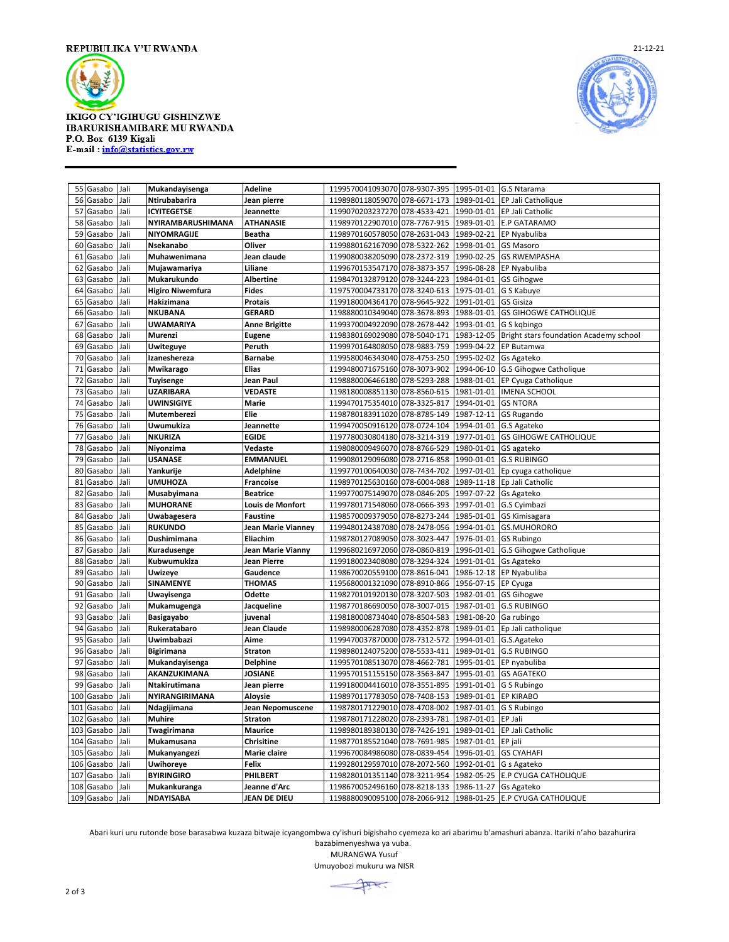

## IKIGO CY'IGIHUGU GISHINZWE IBARURISHAMIBARE MU RWANDA P.O. Box 6139 Kigali E-mail: info@statistics.gov.rw



|     | 55 Gasabo        | Jali | Mukandayisenga                       | <b>Adeline</b>      | 1199570041093070 078-9307-395 |              |                        | 1995-01-01 G.S Ntarama                            |
|-----|------------------|------|--------------------------------------|---------------------|-------------------------------|--------------|------------------------|---------------------------------------------------|
| 56  | Gasabo           | Jali | Ntirubabarira                        | Jean pierre         | 1198980118059070 078-6671-173 |              |                        | 1989-01-01 EP Jali Catholique                     |
| 57  | Gasabo           | Jali | <b>ICYITEGETSE</b>                   | Jeannette           | 1199070203237270 078-4533-421 |              |                        | 1990-01-01 EP Jali Catholic                       |
| 58  | Gasabo           | Jali | NYIRAMBARUSHIMANA                    | <b>ATHANASIE</b>    | 1198970122907010 078-7767-915 |              | 1989-01-01             | <b>E.P GATARAMO</b>                               |
| 59  | Gasabo           | Jali | NIYOMRAGIJE                          | Beatha              | 1198970160578050 078-2631-043 |              |                        | 1989-02-21 EP Nyabuliba                           |
| 60  | Gasabo           | Jali | Nsekanabo                            | Oliver              | 1199880162167090 078-5322-262 |              | 1998-01-01             | GS Masoro                                         |
| 61  | Gasabo           | Jali | Muhawenimana                         | Jean claude         | 1199080038205090 078-2372-319 |              | 1990-02-25             | <b>GS RWEMPASHA</b>                               |
| 62  | Gasabo           | Jali | Mujawamariya                         | Liliane             | 1199670153547170 078-3873-357 |              |                        | 1996-08-28 EP Nyabuliba                           |
| 63  | Gasabo           | Jali | Mukarukundo                          | <b>Albertine</b>    | 1198470132879120 078-3244-223 |              | 1984-01-01             | <b>GS Gihogwe</b>                                 |
| 64  | Gasabo           | Jali | <b>Higiro Niwemfura</b>              | <b>Fides</b>        | 1197570004733170 078-3240-613 |              | 1975-01-01             | G S Kabuye                                        |
| 65  | Gasabo           | Jali | Hakizimana                           | Protais             | 1199180004364170 078-9645-922 |              | 1991-01-01             | GS Gisiza                                         |
| 66  | Gasabo           | Jali | <b>NKUBANA</b>                       | <b>GERARD</b>       | 1198880010349040 078-3678-893 |              | 1988-01-01             | <b>GS GIHOGWE CATHOLIQUE</b>                      |
| 67  | Gasabo           | Jali | <b>UWAMARIYA</b>                     | Anne Brigitte       | 1199370004922090              | 078-2678-442 | 1993-01-01             | G S kgbingo                                       |
| 68  | Gasabo           | Jali | Murenzi                              | <b>Eugene</b>       | 1198380169029080              | 078-5040-171 |                        | 1983-12-05 Bright stars foundation Academy school |
| 69  | Gasabo           | Jali | Uwiteguye                            | Peruth              | 1199970164808050 078-9883-759 |              | 1999-04-22             | EP Butamwa                                        |
| 70  | Gasabo           | Jali | Izaneshereza                         | <b>Barnabe</b>      | 1199580046343040              | 078-4753-250 | 1995-02-02             | Gs Agateko                                        |
| 71  | Gasabo           | Jali | Mwikarago                            | <b>Elias</b>        | 1199480071675160 078-3073-902 |              |                        | 1994-06-10 G.S Gihogwe Catholique                 |
| 72  |                  | Jali |                                      | Jean Paul           | 1198880006466180 078-5293-288 |              | 1988-01-01             |                                                   |
| 73  | Gasabo<br>Gasabo | Jali | <b>Tuyisenge</b><br><b>UZARIBARA</b> | VEDASTE             | 1198180008851130 078-8560-615 |              |                        | EP Cyuga Catholique<br>1981-01-01  IMENA SCHOOL   |
|     |                  |      |                                      |                     |                               |              |                        |                                                   |
| 74  | Gasabo           | Jali | UWINSIGIYE                           | Marie               | 1199470175354010 078-3325-817 |              | 1994-01-01             | <b>GS NTORA</b>                                   |
| 75  | Gasabo           | Jali | Mutemberezi                          | Elie                | 1198780183911020 078-8785-149 |              | 1987-12-11             | <b>GS Rugando</b>                                 |
| 76  | Gasabo           | Jali | Uwumukiza                            | Jeannette           | 1199470050916120 078-0724-104 |              |                        | 1994-01-01 G.S Agateko                            |
| 77  | Gasabo           | Jali | <b>NKURIZA</b>                       | <b>EGIDE</b>        | 1197780030804180              | 078-3214-319 |                        | 1977-01-01 GS GIHOGWE CATHOLIQUE                  |
| 78  | Gasabo           | Jali | Niyonzima                            | Vedaste             | 1198080009496070 078-8766-529 |              | 1980-01-01 GS agateko  |                                                   |
| 79  | Gasabo           | Jali | <b>USANASE</b>                       | <b>EMMANUEL</b>     | 1199080129096080 078-2716-858 |              |                        | 1990-01-01 G.S RUBINGO                            |
| 80  | Gasabo           | Jali | Yankurije                            | Adelphine           | 1199770100640030 078-7434-702 |              | 1997-01-01             | Ep cyuga catholique                               |
| 81  | Gasabo           | Jali | <b>UMUHOZA</b>                       | <b>Francoise</b>    | 1198970125630160              | 078-6004-088 |                        | 1989-11-18 Ep Jali Catholic                       |
| 82  | Gasabo           | Jali | Musabyimana                          | <b>Beatrice</b>     | 1199770075149070 078-0846-205 |              | 1997-07-22 Gs Agateko  |                                                   |
| 83  | Gasabo           | Jali | <b>MUHORANE</b>                      | Louis de Monfort    | 1199780171548060 078-0666-393 |              |                        | 1997-01-01 G.S Cyimbazi                           |
| 84  | Gasabo           | Jali | Uwabagesera                          | <b>Faustine</b>     | 1198570009379050              | 078-8273-244 | 1985-01-01             | GS Kimisagara                                     |
| 85  | Gasabo           | Jali | <b>RUKUNDO</b>                       | Jean Marie Vianney  | 1199480124387080              | 078-2478-056 |                        | 1994-01-01 GS.MUHORORO                            |
|     | 86 Gasabo        | Jali | Dushimimana                          | Eliachim            | 1198780127089050 078-3023-447 |              | 1976-01-01             | GS Rubingo                                        |
| 87  | Gasabo           | Jali | Kuradusenge                          | Jean Marie Vianny   | 1199680216972060 078-0860-819 |              |                        | 1996-01-01 G.S Gihogwe Catholique                 |
| 88  | Gasabo           | Jali | Kubwumukiza                          | Jean Pierre         | 1199180023408080              | 078-3294-324 | 1991-01-01             | Gs Agateko                                        |
| 89  | Gasabo           | Jali | <b>Uwizeye</b>                       | Gaudence            | 1198670020559100 078-8616-041 |              | 1986-12-18             | EP Nyabuliba                                      |
| 90  | Gasabo           | Jali | SINAMENYE                            | <b>THOMAS</b>       | 1195680001321090 078-8910-866 |              | 1956-07-15 EP Cyuga    |                                                   |
| 91  | Gasabo           | Jali | Uwayisenga                           | Odette              | 1198270101920130              | 078-3207-503 | 1982-01-01             | <b>GS Gihogwe</b>                                 |
| 92  | Gasabo           | Jali | Mukamugenga                          | Jacqueline          | 1198770186690050              | 078-3007-015 |                        | 1987-01-01 G.S RUBINGO                            |
| 93  | Gasabo           | Jali | Basigayabo                           | juvenal             | 1198180008734040 078-8504-583 |              | 1981-08-20 Ga rubingo  |                                                   |
| 94  | Gasabo           | Jali | Rukeratabaro                         | Jean Claude         | 1198980006287080 078-4352-878 |              | 1989-01-01             | Ep Jali catholique                                |
| 95  | Gasabo           | Jali | Uwimbabazi                           | Aime                | 1199470037870000              | 078-7312-572 |                        | 1994-01-01 G.S.Agateko                            |
| 96  | Gasabo           | Jali | Bigirimana                           | Straton             | 1198980124075200 078-5533-411 |              |                        | 1989-01-01 G.S RUBINGO                            |
| 97  | Gasabo           | Jali | Mukandayisenga                       | <b>Delphine</b>     | 1199570108513070 078-4662-781 |              |                        | 1995-01-01 EP nyabuliba                           |
| 98  | Gasabo           | Jali | AKANZUKIMANA                         | <b>JOSIANE</b>      | 1199570151155150              | 078-3563-847 | 1995-01-01             | <b>GS AGATEKO</b>                                 |
| 99  | Gasabo           | Jali | Ntakirutimana                        | Jean pierre         | 1199180004416010 078-3551-895 |              |                        | 1991-01-01 G S Rubingo                            |
| 100 | Gasabo           | Jali | NYIRANGIRIMANA                       | Aloysie             | 1198970117783050 078-7408-153 |              | 1989-01-01             | <b>EP KIRABO</b>                                  |
| 101 | Gasabo           | Jali | Ndagijimana                          | Jean Nepomuscene    | 1198780171229010 078-4708-002 |              | 1987-01-01             | G S Rubingo                                       |
| 102 | Gasabo           | Jali | <b>Muhire</b>                        | <b>Straton</b>      | 1198780171228020              | 078-2393-781 | 1987-01-01             | EP Jali                                           |
| 103 | Gasabo           | Jali | Twagirimana                          | <b>Maurice</b>      | 1198980189380130 078-7426-191 |              | 1989-01-01             | EP Jali Catholic                                  |
| 104 | Gasabo           | Jali | Mukamusana                           | <b>Chrisitine</b>   | 1198770185521040 078-7691-985 |              | 1987-01-01 EP jali     |                                                   |
| 105 | Gasabo           | Jali | Mukanyangezi                         | Marie claire        | 1199670084986080              | 078-0839-454 | 1996-01-01             | <b>GS CYAHAFI</b>                                 |
| 106 | Gasabo           | Jali | <b>Uwihoreye</b>                     | Felix               | 1199280129597010 078-2072-560 |              | 1992-01-01 G s Agateko |                                                   |
| 107 | Gasabo           | Jali | <b>BYIRINGIRO</b>                    | PHILBERT            | 1198280101351140 078-3211-954 |              |                        | 1982-05-25 E.P CYUGA CATHOLIQUE                   |
| 108 | Gasabo           | Jali | Mukankuranga                         | Jeanne d'Arc        | 1198670052496160 078-8218-133 |              | 1986-11-27 Gs Agateko  |                                                   |
|     | 109 Gasabo       | Jali | <b>NDAYISABA</b>                     | <b>JEAN DE DIEU</b> | 1198880090095100 078-2066-912 |              |                        | 1988-01-25 E.P CYUGA CATHOLIQUE                   |
|     |                  |      |                                      |                     |                               |              |                        |                                                   |

Abari kuri uru rutonde bose barasabwa kuzaza bitwaje icyangombwa cy'ishuri bigishaho cyemeza ko ari abarimu b'amashuri abanza. Itariki n'aho bazahurira

bazabimenyeshwa ya vuba. MURANGWA Yusuf Umuyobozi mukuru wa NISR